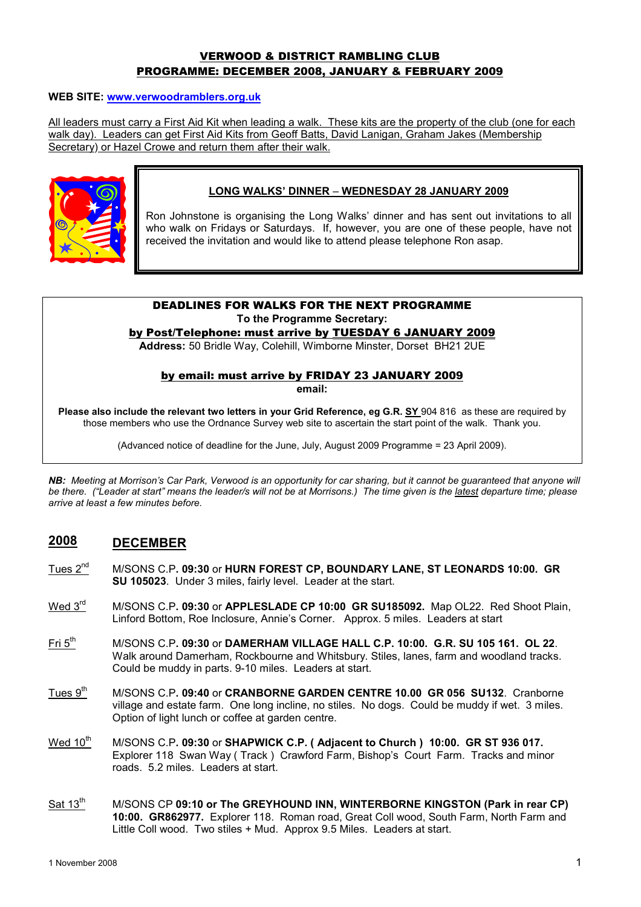## VERWOOD & DISTRICT RAMBLING CLUB PROGRAMME: DECEMBER 2008, JANUARY & FEBRUARY 2009

#### WEB SITE: www.verwoodramblers.org.uk

All leaders must carry a First Aid Kit when leading a walk. These kits are the property of the club (one for each walk day). Leaders can get First Aid Kits from Geoff Batts, David Lanigan, Graham Jakes (Membership Secretary) or Hazel Crowe and return them after their walk.



#### LONG WALKS' DINNER – WEDNESDAY 28 JANUARY 2009

Ron Johnstone is organising the Long Walks' dinner and has sent out invitations to all who walk on Fridays or Saturdays. If, however, you are one of these people, have not received the invitation and would like to attend please telephone Ron asap.

#### DEADLINES FOR WALKS FOR THE NEXT PROGRAMME To the Programme Secretary:

by Post/Telephone: must arrive by TUESDAY 6 JANUARY 2009

Address: 50 Bridle Way, Colehill, Wimborne Minster, Dorset BH21 2UE

#### by email: must arrive by FRIDAY 23 JANUARY 2009

email:

Please also include the relevant two letters in your Grid Reference, eg G.R. SY 904 816 as these are required by those members who use the Ordnance Survey web site to ascertain the start point of the walk. Thank you.

(Advanced notice of deadline for the June, July, August 2009 Programme = 23 April 2009).

NB: Meeting at Morrison's Car Park, Verwood is an opportunity for car sharing, but it cannot be guaranteed that anyone will be there. ("Leader at start" means the leader/s will not be at Morrisons.) The time given is the latest departure time; please arrive at least a few minutes before.

# 2008 DECEMBER

- Tues 2<sup>nd</sup> M/SONS C.P. 09:30 or HURN FOREST CP. BOUNDARY LANE, ST LEONARDS 10:00. GR SU 105023. Under 3 miles, fairly level. Leader at the start.
- Wed  $3<sup>rd</sup>$  M/SONS C.P. 09:30 or APPLESLADE CP 10:00 GR SU185092. Map OL22. Red Shoot Plain, Linford Bottom, Roe Inclosure, Annie's Corner. Approx. 5 miles. Leaders at start
- $Fit 5<sup>th</sup>$  M/SONS C.P. 09:30 or DAMERHAM VILLAGE HALL C.P. 10:00. G.R. SU 105 161. OL 22. Walk around Damerham, Rockbourne and Whitsbury. Stiles, lanes, farm and woodland tracks. Could be muddy in parts. 9-10 miles. Leaders at start.
- Tues 9<sup>th</sup> M/SONS C.P. 09:40 or CRANBORNE GARDEN CENTRE 10.00 GR 056 SU132. Cranborne village and estate farm. One long incline, no stiles. No dogs. Could be muddy if wet. 3 miles. Option of light lunch or coffee at garden centre.
- Wed  $10^{th}$  M/SONS C.P. 09:30 or SHAPWICK C.P. (Adjacent to Church ) 10:00. GR ST 936 017. Explorer 118 Swan Way ( Track ) Crawford Farm, Bishop's Court Farm. Tracks and minor roads. 5.2 miles. Leaders at start.
- Sat 13<sup>th</sup> M/SONS CP 09:10 or The GREYHOUND INN, WINTERBORNE KINGSTON (Park in rear CP) 10:00. GR862977. Explorer 118. Roman road, Great Coll wood, South Farm, North Farm and Little Coll wood. Two stiles + Mud. Approx 9.5 Miles. Leaders at start.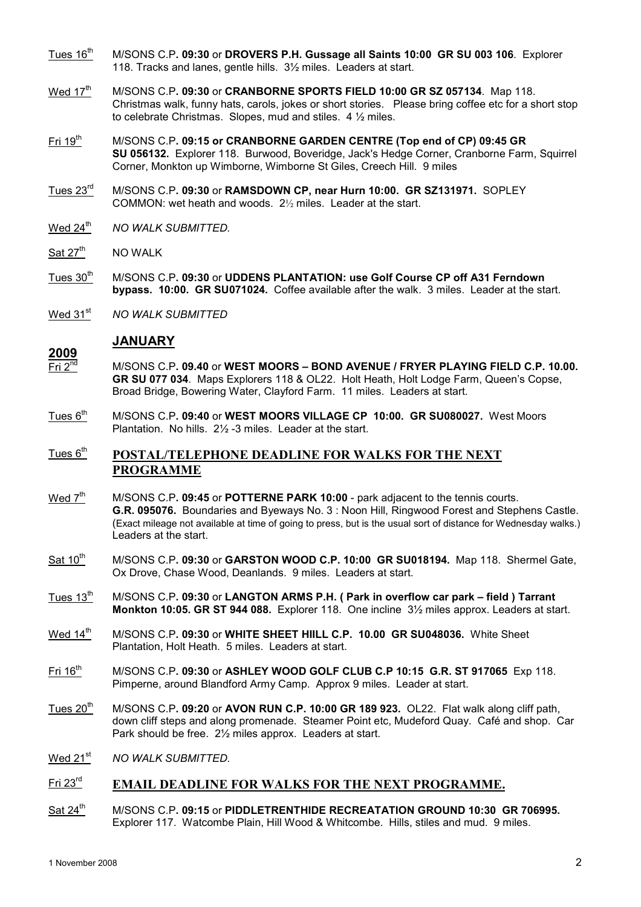- Tues  $16<sup>th</sup>$  M/SONS C.P. 09:30 or DROVERS P.H. Gussage all Saints 10:00 GR SU 003 106. Explorer 118. Tracks and lanes, gentle hills. 3½ miles. Leaders at start.
- Wed 17<sup>th</sup> M/SONS C.P. 09:30 or CRANBORNE SPORTS FIELD 10:00 GR SZ 057134. Map 118. Christmas walk, funny hats, carols, jokes or short stories. Please bring coffee etc for a short stop to celebrate Christmas. Slopes, mud and stiles. 4 ½ miles.
- Fri 19<sup>th</sup> M/SONS C.P. 09:15 or CRANBORNE GARDEN CENTRE (Top end of CP) 09:45 GR SU 056132. Explorer 118. Burwood, Boveridge, Jack's Hedge Corner, Cranborne Farm, Squirrel Corner, Monkton up Wimborne, Wimborne St Giles, Creech Hill. 9 miles
- Tues 23rd M/SONS C.P. 09:30 or RAMSDOWN CP, near Hurn 10:00. GR SZ131971. SOPLEY COMMON: wet heath and woods. 2½ miles. Leader at the start.
- Wed 24<sup>th</sup> NO WALK SUBMITTED.
- Sat 27<sup>th</sup> NO WALK
- Tues  $30<sup>th</sup>$  M/SONS C.P. 09:30 or UDDENS PLANTATION: use Golf Course CP off A31 Ferndown bypass. 10:00. GR SU071024. Coffee available after the walk. 3 miles. Leader at the start.
- Wed 31<sup>st</sup> NO WALK SUBMITTED

#### **JANUARY**

- $\frac{2009}{\text{Fri } 2^{nd}}$  $M/$ SONS C.P. 09.40 or WEST MOORS – BOND AVENUE / FRYER PLAYING FIELD C.P. 10.00. GR SU 077 034. Maps Explorers 118 & OL22. Holt Heath, Holt Lodge Farm, Queen's Copse, Broad Bridge, Bowering Water, Clayford Farm. 11 miles. Leaders at start.
- $Tues 6<sup>th</sup>$  M/SONS C.P. 09:40 or WEST MOORS VILLAGE CP 10:00. GR SU080027. West Moors Plantation. No hills. 2½ -3 miles. Leader at the start.

## $T$ ues  $6<sup>th</sup>$  POSTAL/TELEPHONE DEADLINE FOR WALKS FOR THE NEXT PROGRAMME

- Wed  $7<sup>th</sup>$  M/SONS C.P. 09:45 or POTTERNE PARK 10:00 park adjacent to the tennis courts. G.R. 095076. Boundaries and Byeways No. 3 : Noon Hill, Ringwood Forest and Stephens Castle. (Exact mileage not available at time of going to press, but is the usual sort of distance for Wednesday walks.) Leaders at the start.
- Sat 10<sup>th</sup> M/SONS C.P. 09:30 or GARSTON WOOD C.P. 10:00 GR SU018194. Map 118. Shermel Gate, Ox Drove, Chase Wood, Deanlands. 9 miles. Leaders at start.
- Tues  $13<sup>th</sup>$  M/SONS C.P. 09:30 or LANGTON ARMS P.H. ( Park in overflow car park field ) Tarrant Monkton 10:05. GR ST 944 088. Explorer 118. One incline 3½ miles approx. Leaders at start.
- Wed 14<sup>th</sup> M/SONS C.P. 09:30 or WHITE SHEET HIILL C.P. 10.00 GR SU048036. White Sheet Plantation, Holt Heath. 5 miles. Leaders at start.
- Fri 16<sup>th</sup> M/SONS C.P. 09:30 or ASHLEY WOOD GOLF CLUB C.P 10:15 G.R. ST 917065 Exp 118. Pimperne, around Blandford Army Camp. Approx 9 miles. Leader at start.
- Tues  $20<sup>th</sup>$  M/SONS C.P. 09:20 or AVON RUN C.P. 10:00 GR 189 923. OL22. Flat walk along cliff path, down cliff steps and along promenade. Steamer Point etc, Mudeford Quay. Café and shop. Car Park should be free. 2½ miles approx. Leaders at start.
- $Wed 21<sup>st</sup>$  NO WALK SUBMITTED.

# Fri 23<sup>rd</sup> EMAIL DEADLINE FOR WALKS FOR THE NEXT PROGRAMME.

Sat 24<sup>th</sup> M/SONS C.P. 09:15 or PIDDLETRENTHIDE RECREATATION GROUND 10:30 GR 706995. Explorer 117. Watcombe Plain, Hill Wood & Whitcombe. Hills, stiles and mud. 9 miles.